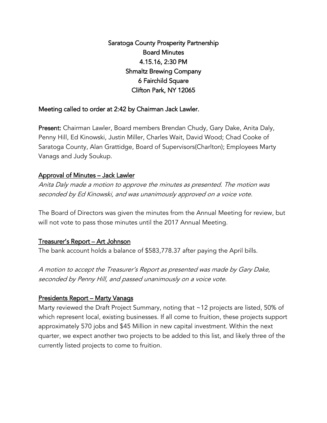Saratoga County Prosperity Partnership Board Minutes 4.15.16, 2:30 PM Shmaltz Brewing Company 6 Fairchild Square Clifton Park, NY 12065

## Meeting called to order at 2:42 by Chairman Jack Lawler.

Present: Chairman Lawler, Board members Brendan Chudy, Gary Dake, Anita Daly, Penny Hill, Ed Kinowski, Justin Miller, Charles Wait, David Wood; Chad Cooke of Saratoga County, Alan Grattidge, Board of Supervisors(Charlton); Employees Marty Vanags and Judy Soukup.

#### Approval of Minutes – Jack Lawler

Anita Daly made a motion to approve the minutes as presented. The motion was seconded by Ed Kinowski, and was unanimously approved on a voice vote.

The Board of Directors was given the minutes from the Annual Meeting for review, but will not vote to pass those minutes until the 2017 Annual Meeting.

#### Treasurer's Report – Art Johnson

The bank account holds a balance of \$583,778.37 after paying the April bills.

A motion to accept the Treasurer's Report as presented was made by Gary Dake, seconded by Penny Hill, and passed unanimously on a voice vote.

#### Presidents Report – Marty Vanags

Marty reviewed the Draft Project Summary, noting that ~12 projects are listed, 50% of which represent local, existing businesses. If all come to fruition, these projects support approximately 570 jobs and \$45 Million in new capital investment. Within the next quarter, we expect another two projects to be added to this list, and likely three of the currently listed projects to come to fruition.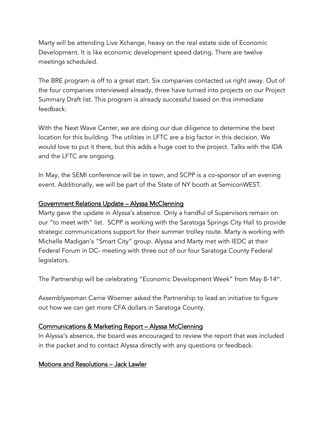Marty will be attending Live Xchange, heavy on the real estate side of Economic Development. It is like economic development speed dating. There are twelve meetings scheduled.

The BRE program is off to a great start. Six companies contacted us right away. Out of the four companies interviewed already, three have turned into projects on our Project Summary Draft list. This program is already successful based on this immediate feedback.

With the Next Wave Center, we are doing our due diligence to determine the best location for this building. The utilities in LFTC are a big factor in this decision. We would love to put it there, but this adds a huge cost to the project. Talks with the IDA and the LFTC are ongoing.

In May, the SEMI conference will be in town, and SCPP is a co-sponsor of an evening event. Additionally, we will be part of the State of NY booth at SemiconWEST.

## Government Relations Update – Alyssa McClenning

Marty gave the update in Alyssa's absence. Only a handful of Supervisors remain on our "to meet with" list. SCPP is working with the Saratoga Springs City Hall to provide strategic communications support for their summer trolley route. Marty is working with Michelle Madigan's "Smart City" group. Alyssa and Marty met with IEDC at their Federal Forum in DC- meeting with three out of our four Saratoga County Federal legislators.

The Partnership will be celebrating "Economic Development Week" from May 8-14th.

Assemblywoman Carrie Woerner asked the Partnership to lead an initiative to figure out how we can get more CFA dollars in Saratoga County.

# Communications & Marketing Report – Alyssa McClenning

In Alyssa's absence, the board was encouraged to review the report that was included in the packet and to contact Alyssa directly with any questions or feedback.

# Motions and Resolutions – Jack Lawler